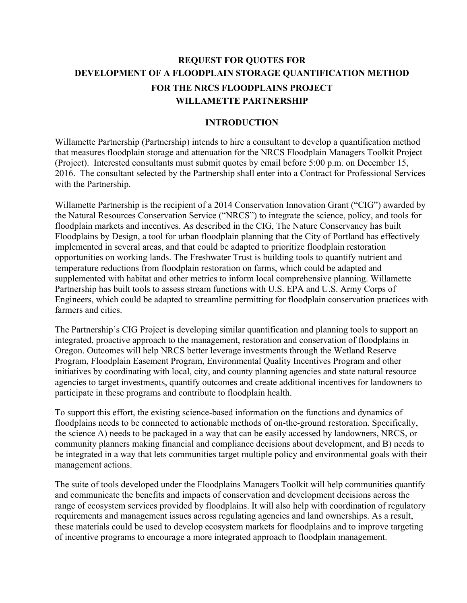# **REQUEST FOR QUOTES FOR DEVELOPMENT OF A FLOODPLAIN STORAGE QUANTIFICATION METHOD FOR THE NRCS FLOODPLAINS PROJECT WILLAMETTE PARTNERSHIP**

#### **INTRODUCTION**

Willamette Partnership (Partnership) intends to hire a consultant to develop a quantification method that measures floodplain storage and attenuation for the NRCS Floodplain Managers Toolkit Project (Project). Interested consultants must submit quotes by email before 5:00 p.m. on December 15, 2016. The consultant selected by the Partnership shall enter into a Contract for Professional Services with the Partnership.

Willamette Partnership is the recipient of a 2014 Conservation Innovation Grant ("CIG") awarded by the Natural Resources Conservation Service ("NRCS") to integrate the science, policy, and tools for floodplain markets and incentives. As described in the CIG, The Nature Conservancy has built Floodplains by Design, a tool for urban floodplain planning that the City of Portland has effectively implemented in several areas, and that could be adapted to prioritize floodplain restoration opportunities on working lands. The Freshwater Trust is building tools to quantify nutrient and temperature reductions from floodplain restoration on farms, which could be adapted and supplemented with habitat and other metrics to inform local comprehensive planning. Willamette Partnership has built tools to assess stream functions with U.S. EPA and U.S. Army Corps of Engineers, which could be adapted to streamline permitting for floodplain conservation practices with farmers and cities.

The Partnership's CIG Project is developing similar quantification and planning tools to support an integrated, proactive approach to the management, restoration and conservation of floodplains in Oregon. Outcomes will help NRCS better leverage investments through the Wetland Reserve Program, Floodplain Easement Program, Environmental Quality Incentives Program and other initiatives by coordinating with local, city, and county planning agencies and state natural resource agencies to target investments, quantify outcomes and create additional incentives for landowners to participate in these programs and contribute to floodplain health.

To support this effort, the existing science-based information on the functions and dynamics of floodplains needs to be connected to actionable methods of on-the-ground restoration. Specifically, the science A) needs to be packaged in a way that can be easily accessed by landowners, NRCS, or community planners making financial and compliance decisions about development, and B) needs to be integrated in a way that lets communities target multiple policy and environmental goals with their management actions.

The suite of tools developed under the Floodplains Managers Toolkit will help communities quantify and communicate the benefits and impacts of conservation and development decisions across the range of ecosystem services provided by floodplains. It will also help with coordination of regulatory requirements and management issues across regulating agencies and land ownerships. As a result, these materials could be used to develop ecosystem markets for floodplains and to improve targeting of incentive programs to encourage a more integrated approach to floodplain management.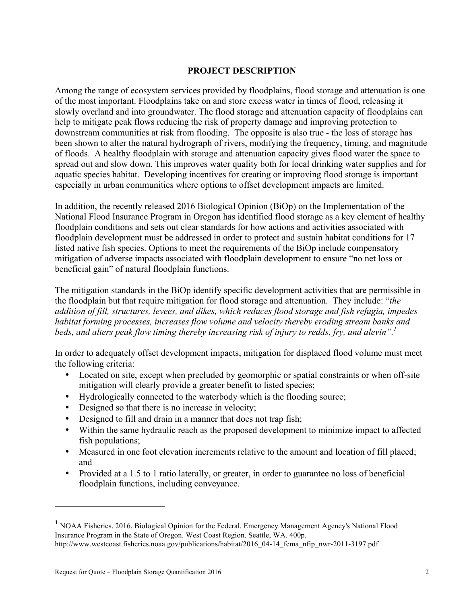### **PROJECT DESCRIPTION**

Among the range of ecosystem services provided by floodplains, flood storage and attenuation is one of the most important. Floodplains take on and store excess water in times of flood, releasing it slowly overland and into groundwater. The flood storage and attenuation capacity of floodplains can help to mitigate peak flows reducing the risk of property damage and improving protection to downstream communities at risk from flooding. The opposite is also true - the loss of storage has been shown to alter the natural hydrograph of rivers, modifying the frequency, timing, and magnitude of floods. A healthy floodplain with storage and attenuation capacity gives flood water the space to spread out and slow down. This improves water quality both for local drinking water supplies and for aquatic species habitat. Developing incentives for creating or improving flood storage is important – especially in urban communities where options to offset development impacts are limited.

In addition, the recently released 2016 Biological Opinion (BiOp) on the Implementation of the National Flood Insurance Program in Oregon has identified flood storage as a key element of healthy floodplain conditions and sets out clear standards for how actions and activities associated with floodplain development must be addressed in order to protect and sustain habitat conditions for 17 listed native fish species. Options to meet the requirements of the BiOp include compensatory mitigation of adverse impacts associated with floodplain development to ensure "no net loss or beneficial gain" of natural floodplain functions.

The mitigation standards in the BiOp identify specific development activities that are permissible in the floodplain but that require mitigation for flood storage and attenuation. They include: "*the addition of fill, structures, levees, and dikes, which reduces flood storage and fish refugia, impedes habitat forming processes, increases flow volume and velocity thereby eroding stream banks and beds, and alters peak flow timing thereby increasing risk of injury to redds, fry, and alevin". 1*

In order to adequately offset development impacts, mitigation for displaced flood volume must meet the following criteria:

- Located on site, except when precluded by geomorphic or spatial constraints or when off-site mitigation will clearly provide a greater benefit to listed species;
- Hydrologically connected to the waterbody which is the flooding source;
- Designed so that there is no increase in velocity;
- Designed to fill and drain in a manner that does not trap fish;
- Within the same hydraulic reach as the proposed development to minimize impact to affected fish populations;
- Measured in one foot elevation increments relative to the amount and location of fill placed; and
- Provided at a 1.5 to 1 ratio laterally, or greater, in order to guarantee no loss of beneficial floodplain functions, including conveyance.

 $\overline{a}$ 

<sup>1</sup> NOAA Fisheries. 2016. Biological Opinion for the Federal. Emergency Management Agency's National Flood Insurance Program in the State of Oregon. West Coast Region. Seattle, WA. 400p. http://www.westcoast.fisheries.noaa.gov/publications/habitat/2016\_04-14\_fema\_nfip\_nwr-2011-3197.pdf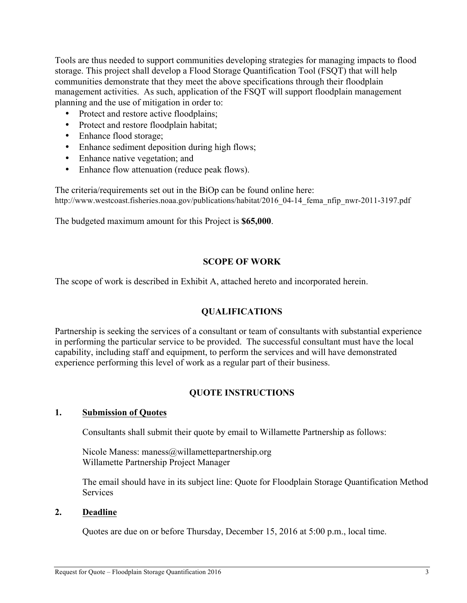Tools are thus needed to support communities developing strategies for managing impacts to flood storage. This project shall develop a Flood Storage Quantification Tool (FSQT) that will help communities demonstrate that they meet the above specifications through their floodplain management activities. As such, application of the FSQT will support floodplain management planning and the use of mitigation in order to:

- Protect and restore active floodplains;
- Protect and restore floodplain habitat;
- Enhance flood storage;
- Enhance sediment deposition during high flows;
- Enhance native vegetation; and
- Enhance flow attenuation (reduce peak flows).

The criteria/requirements set out in the BiOp can be found online here: http://www.westcoast.fisheries.noaa.gov/publications/habitat/2016\_04-14\_fema\_nfip\_nwr-2011-3197.pdf

The budgeted maximum amount for this Project is **\$65,000**.

### **SCOPE OF WORK**

The scope of work is described in Exhibit A, attached hereto and incorporated herein.

## **QUALIFICATIONS**

Partnership is seeking the services of a consultant or team of consultants with substantial experience in performing the particular service to be provided. The successful consultant must have the local capability, including staff and equipment, to perform the services and will have demonstrated experience performing this level of work as a regular part of their business.

## **QUOTE INSTRUCTIONS**

### **1. Submission of Quotes**

Consultants shall submit their quote by email to Willamette Partnership as follows:

Nicole Maness: maness@willamettepartnership.org Willamette Partnership Project Manager

The email should have in its subject line: Quote for Floodplain Storage Quantification Method **Services** 

### **2. Deadline**

Quotes are due on or before Thursday, December 15, 2016 at 5:00 p.m., local time.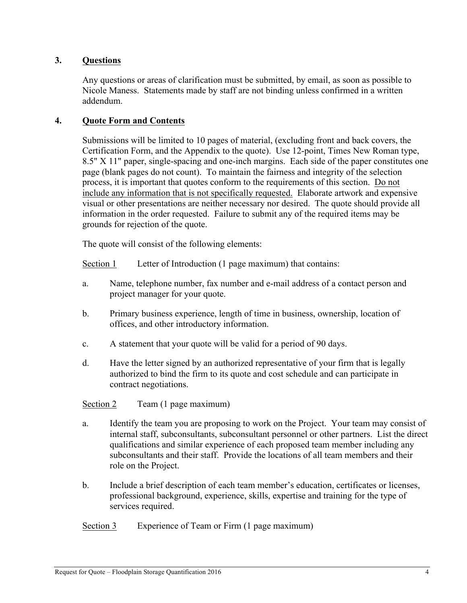### **3. Questions**

Any questions or areas of clarification must be submitted, by email, as soon as possible to Nicole Maness. Statements made by staff are not binding unless confirmed in a written addendum.

### **4. Quote Form and Contents**

Submissions will be limited to 10 pages of material, (excluding front and back covers, the Certification Form, and the Appendix to the quote). Use 12-point, Times New Roman type, 8.5" X 11" paper, single-spacing and one-inch margins. Each side of the paper constitutes one page (blank pages do not count). To maintain the fairness and integrity of the selection process, it is important that quotes conform to the requirements of this section. Do not include any information that is not specifically requested. Elaborate artwork and expensive visual or other presentations are neither necessary nor desired. The quote should provide all information in the order requested. Failure to submit any of the required items may be grounds for rejection of the quote.

The quote will consist of the following elements:

Section 1 Letter of Introduction (1 page maximum) that contains:

- a. Name, telephone number, fax number and e-mail address of a contact person and project manager for your quote.
- b. Primary business experience, length of time in business, ownership, location of offices, and other introductory information.
- c. A statement that your quote will be valid for a period of 90 days.
- d. Have the letter signed by an authorized representative of your firm that is legally authorized to bind the firm to its quote and cost schedule and can participate in contract negotiations.

Section 2 Team (1 page maximum)

- a. Identify the team you are proposing to work on the Project. Your team may consist of internal staff, subconsultants, subconsultant personnel or other partners. List the direct qualifications and similar experience of each proposed team member including any subconsultants and their staff. Provide the locations of all team members and their role on the Project.
- b. Include a brief description of each team member's education, certificates or licenses, professional background, experience, skills, expertise and training for the type of services required.
- Section 3 Experience of Team or Firm (1 page maximum)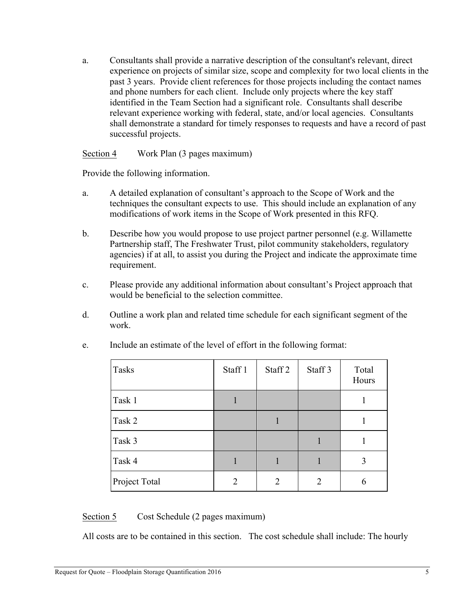a. Consultants shall provide a narrative description of the consultant's relevant, direct experience on projects of similar size, scope and complexity for two local clients in the past 3 years. Provide client references for those projects including the contact names and phone numbers for each client. Include only projects where the key staff identified in the Team Section had a significant role. Consultants shall describe relevant experience working with federal, state, and/or local agencies. Consultants shall demonstrate a standard for timely responses to requests and have a record of past successful projects.

#### Section 4 Work Plan (3 pages maximum)

Provide the following information.

- a. A detailed explanation of consultant's approach to the Scope of Work and the techniques the consultant expects to use. This should include an explanation of any modifications of work items in the Scope of Work presented in this RFQ.
- b. Describe how you would propose to use project partner personnel (e.g. Willamette Partnership staff, The Freshwater Trust, pilot community stakeholders, regulatory agencies) if at all, to assist you during the Project and indicate the approximate time requirement.
- c. Please provide any additional information about consultant's Project approach that would be beneficial to the selection committee.
- d. Outline a work plan and related time schedule for each significant segment of the work.

| Tasks         | Staff 1 | Staff 2 | Staff 3        | Total<br>Hours |
|---------------|---------|---------|----------------|----------------|
| Task 1        |         |         |                |                |
| Task 2        |         |         |                |                |
| Task 3        |         |         |                |                |
| Task 4        |         | 1       |                | 3              |
| Project Total | 2       | 2       | $\overline{2}$ | 6              |

e. Include an estimate of the level of effort in the following format:

### Section 5 Cost Schedule (2 pages maximum)

All costs are to be contained in this section. The cost schedule shall include: The hourly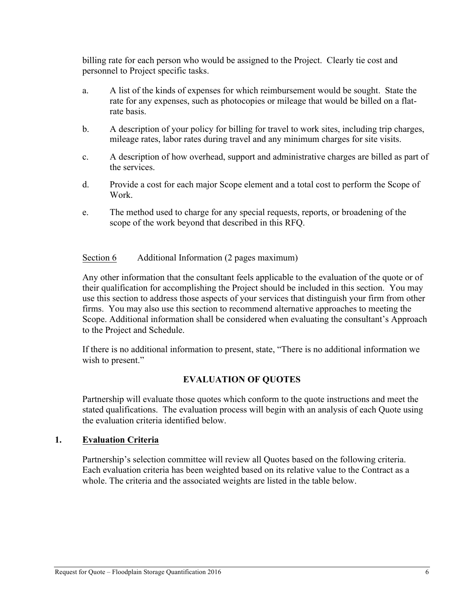billing rate for each person who would be assigned to the Project. Clearly tie cost and personnel to Project specific tasks.

- a. A list of the kinds of expenses for which reimbursement would be sought. State the rate for any expenses, such as photocopies or mileage that would be billed on a flatrate basis.
- b. A description of your policy for billing for travel to work sites, including trip charges, mileage rates, labor rates during travel and any minimum charges for site visits.
- c. A description of how overhead, support and administrative charges are billed as part of the services.
- d. Provide a cost for each major Scope element and a total cost to perform the Scope of Work.
- e. The method used to charge for any special requests, reports, or broadening of the scope of the work beyond that described in this RFQ.

#### Section 6 Additional Information (2 pages maximum)

Any other information that the consultant feels applicable to the evaluation of the quote or of their qualification for accomplishing the Project should be included in this section. You may use this section to address those aspects of your services that distinguish your firm from other firms. You may also use this section to recommend alternative approaches to meeting the Scope. Additional information shall be considered when evaluating the consultant's Approach to the Project and Schedule.

If there is no additional information to present, state, "There is no additional information we wish to present."

### **EVALUATION OF QUOTES**

Partnership will evaluate those quotes which conform to the quote instructions and meet the stated qualifications. The evaluation process will begin with an analysis of each Quote using the evaluation criteria identified below.

#### **1. Evaluation Criteria**

Partnership's selection committee will review all Quotes based on the following criteria. Each evaluation criteria has been weighted based on its relative value to the Contract as a whole. The criteria and the associated weights are listed in the table below.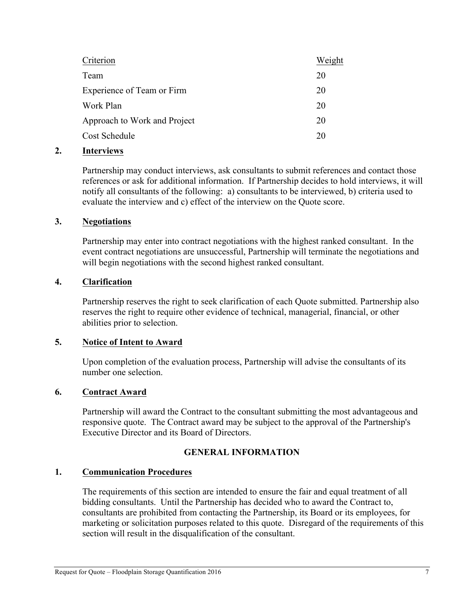| Weight |
|--------|
| 20     |
| 20     |
| 20     |
| 20     |
| 20     |
|        |

### **2. Interviews**

Partnership may conduct interviews, ask consultants to submit references and contact those references or ask for additional information. If Partnership decides to hold interviews, it will notify all consultants of the following: a) consultants to be interviewed, b) criteria used to evaluate the interview and c) effect of the interview on the Quote score.

#### **3. Negotiations**

Partnership may enter into contract negotiations with the highest ranked consultant. In the event contract negotiations are unsuccessful, Partnership will terminate the negotiations and will begin negotiations with the second highest ranked consultant.

### **4. Clarification**

Partnership reserves the right to seek clarification of each Quote submitted. Partnership also reserves the right to require other evidence of technical, managerial, financial, or other abilities prior to selection.

### **5. Notice of Intent to Award**

Upon completion of the evaluation process, Partnership will advise the consultants of its number one selection.

### **6. Contract Award**

Partnership will award the Contract to the consultant submitting the most advantageous and responsive quote. The Contract award may be subject to the approval of the Partnership's Executive Director and its Board of Directors.

### **GENERAL INFORMATION**

### **1. Communication Procedures**

The requirements of this section are intended to ensure the fair and equal treatment of all bidding consultants. Until the Partnership has decided who to award the Contract to, consultants are prohibited from contacting the Partnership, its Board or its employees, for marketing or solicitation purposes related to this quote. Disregard of the requirements of this section will result in the disqualification of the consultant.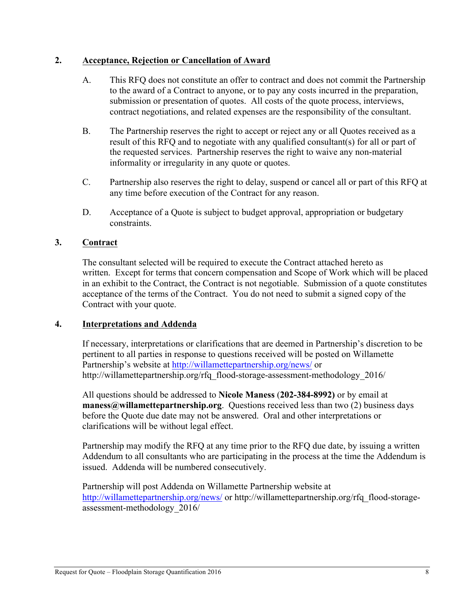### **2. Acceptance, Rejection or Cancellation of Award**

- A. This RFQ does not constitute an offer to contract and does not commit the Partnership to the award of a Contract to anyone, or to pay any costs incurred in the preparation, submission or presentation of quotes. All costs of the quote process, interviews, contract negotiations, and related expenses are the responsibility of the consultant.
- B. The Partnership reserves the right to accept or reject any or all Quotes received as a result of this RFQ and to negotiate with any qualified consultant(s) for all or part of the requested services. Partnership reserves the right to waive any non-material informality or irregularity in any quote or quotes.
- C. Partnership also reserves the right to delay, suspend or cancel all or part of this RFQ at any time before execution of the Contract for any reason.
- D. Acceptance of a Quote is subject to budget approval, appropriation or budgetary constraints.

### **3. Contract**

The consultant selected will be required to execute the Contract attached hereto as written. Except for terms that concern compensation and Scope of Work which will be placed in an exhibit to the Contract, the Contract is not negotiable. Submission of a quote constitutes acceptance of the terms of the Contract. You do not need to submit a signed copy of the Contract with your quote.

### **4. Interpretations and Addenda**

If necessary, interpretations or clarifications that are deemed in Partnership's discretion to be pertinent to all parties in response to questions received will be posted on Willamette Partnership's website at http://willamettepartnership.org/news/ or http://willamettepartnership.org/rfq\_flood-storage-assessment-methodology\_2016/

All questions should be addressed to **Nicole Maness** (**202-384-8992)** or by email at **maness@willamettepartnership.org**. Questions received less than two (2) business days before the Quote due date may not be answered. Oral and other interpretations or clarifications will be without legal effect.

Partnership may modify the RFQ at any time prior to the RFQ due date, by issuing a written Addendum to all consultants who are participating in the process at the time the Addendum is issued. Addenda will be numbered consecutively.

Partnership will post Addenda on Willamette Partnership website at http://willamettepartnership.org/news/ or http://willamettepartnership.org/rfq\_flood-storageassessment-methodology\_2016/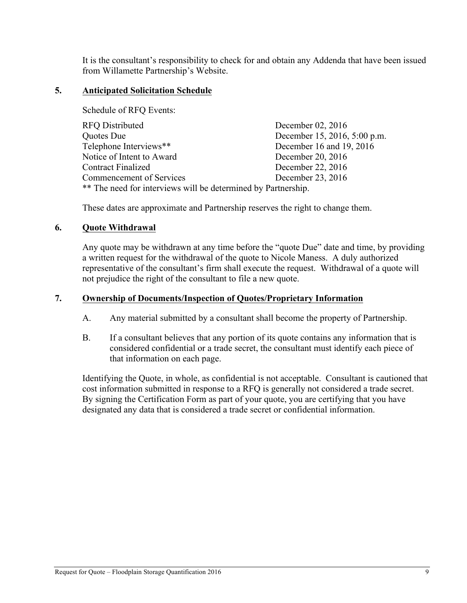It is the consultant's responsibility to check for and obtain any Addenda that have been issued from Willamette Partnership's Website.

### **5. Anticipated Solicitation Schedule**

Schedule of RFQ Events:

| <b>RFQ Distributed</b>                                        | December 02, 2016            |
|---------------------------------------------------------------|------------------------------|
| Quotes Due                                                    | December 15, 2016, 5:00 p.m. |
| Telephone Interviews**                                        | December 16 and 19, 2016     |
| Notice of Intent to Award                                     | December 20, 2016            |
| <b>Contract Finalized</b>                                     | December 22, 2016            |
| Commencement of Services                                      | December 23, 2016            |
| ** The need for interviews will be determined by Partnership. |                              |

These dates are approximate and Partnership reserves the right to change them.

#### **6. Quote Withdrawal**

Any quote may be withdrawn at any time before the "quote Due" date and time, by providing a written request for the withdrawal of the quote to Nicole Maness. A duly authorized representative of the consultant's firm shall execute the request. Withdrawal of a quote will not prejudice the right of the consultant to file a new quote.

#### **7. Ownership of Documents/Inspection of Quotes/Proprietary Information**

- A. Any material submitted by a consultant shall become the property of Partnership.
- B. If a consultant believes that any portion of its quote contains any information that is considered confidential or a trade secret, the consultant must identify each piece of that information on each page.

Identifying the Quote, in whole, as confidential is not acceptable. Consultant is cautioned that cost information submitted in response to a RFQ is generally not considered a trade secret. By signing the Certification Form as part of your quote, you are certifying that you have designated any data that is considered a trade secret or confidential information.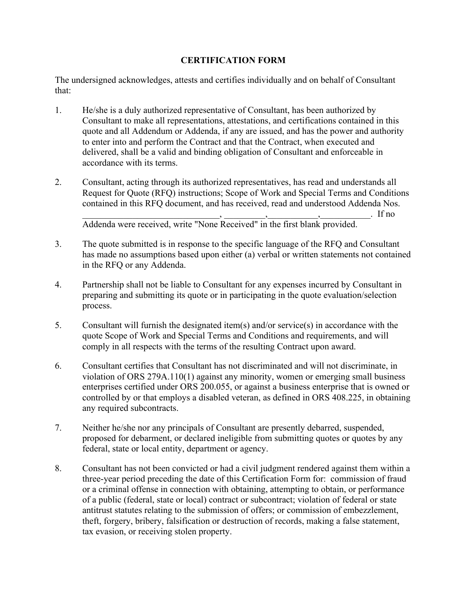### **CERTIFICATION FORM**

The undersigned acknowledges, attests and certifies individually and on behalf of Consultant that:

- 1. He/she is a duly authorized representative of Consultant, has been authorized by Consultant to make all representations, attestations, and certifications contained in this quote and all Addendum or Addenda, if any are issued, and has the power and authority to enter into and perform the Contract and that the Contract, when executed and delivered, shall be a valid and binding obligation of Consultant and enforceable in accordance with its terms.
- 2. Consultant, acting through its authorized representatives, has read and understands all Request for Quote (RFQ) instructions; Scope of Work and Special Terms and Conditions contained in this RFQ document, and has received, read and understood Addenda Nos.

\_\_\_\_\_\_\_\_\_\_\_\_\_\_\_\_\_\_\_\_\_\_\_\_\_\_\_\_\_\_, \_\_\_\_\_\_\_\_\_,\_\_\_\_\_\_\_\_\_\_\_,\_\_\_\_\_\_\_\_\_\_\_. If no Addenda were received, write "None Received" in the first blank provided.

- 3. The quote submitted is in response to the specific language of the RFQ and Consultant has made no assumptions based upon either (a) verbal or written statements not contained in the RFQ or any Addenda.
- 4. Partnership shall not be liable to Consultant for any expenses incurred by Consultant in preparing and submitting its quote or in participating in the quote evaluation/selection process.
- 5. Consultant will furnish the designated item(s) and/or service(s) in accordance with the quote Scope of Work and Special Terms and Conditions and requirements, and will comply in all respects with the terms of the resulting Contract upon award.
- 6. Consultant certifies that Consultant has not discriminated and will not discriminate, in violation of ORS 279A.110(1) against any minority, women or emerging small business enterprises certified under ORS 200.055, or against a business enterprise that is owned or controlled by or that employs a disabled veteran, as defined in ORS 408.225, in obtaining any required subcontracts.
- 7. Neither he/she nor any principals of Consultant are presently debarred, suspended, proposed for debarment, or declared ineligible from submitting quotes or quotes by any federal, state or local entity, department or agency.
- 8. Consultant has not been convicted or had a civil judgment rendered against them within a three-year period preceding the date of this Certification Form for: commission of fraud or a criminal offense in connection with obtaining, attempting to obtain, or performance of a public (federal, state or local) contract or subcontract; violation of federal or state antitrust statutes relating to the submission of offers; or commission of embezzlement, theft, forgery, bribery, falsification or destruction of records, making a false statement, tax evasion, or receiving stolen property.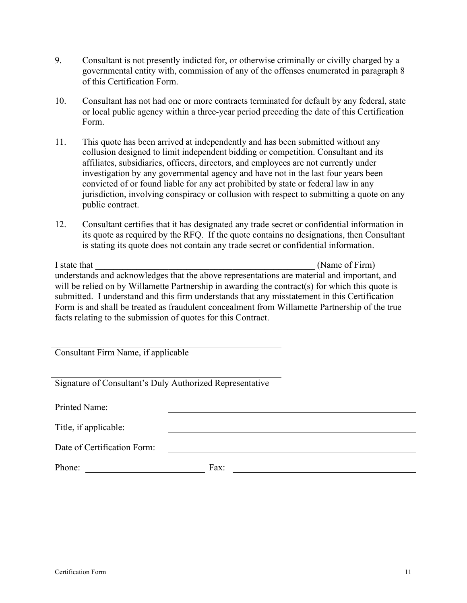- 9. Consultant is not presently indicted for, or otherwise criminally or civilly charged by a governmental entity with, commission of any of the offenses enumerated in paragraph 8 of this Certification Form.
- 10. Consultant has not had one or more contracts terminated for default by any federal, state or local public agency within a three-year period preceding the date of this Certification Form.
- 11. This quote has been arrived at independently and has been submitted without any collusion designed to limit independent bidding or competition. Consultant and its affiliates, subsidiaries, officers, directors, and employees are not currently under investigation by any governmental agency and have not in the last four years been convicted of or found liable for any act prohibited by state or federal law in any jurisdiction, involving conspiracy or collusion with respect to submitting a quote on any public contract.
- 12. Consultant certifies that it has designated any trade secret or confidential information in its quote as required by the RFQ. If the quote contains no designations, then Consultant is stating its quote does not contain any trade secret or confidential information.

I state that  $\blacksquare$  and  $\blacksquare$  and  $\blacksquare$  (Name of Firm) understands and acknowledges that the above representations are material and important, and will be relied on by Willamette Partnership in awarding the contract(s) for which this quote is submitted. I understand and this firm understands that any misstatement in this Certification Form is and shall be treated as fraudulent concealment from Willamette Partnership of the true facts relating to the submission of quotes for this Contract.

Consultant Firm Name, if applicable

Signature of Consultant's Duly Authorized Representative

Printed Name: Title, if applicable: Date of Certification Form: Phone: Fax: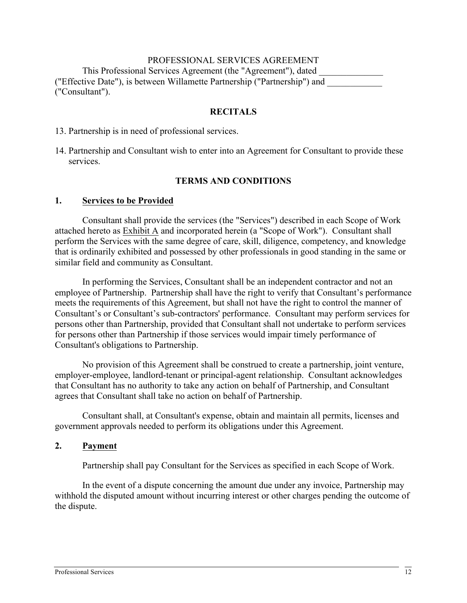### PROFESSIONAL SERVICES AGREEMENT

This Professional Services Agreement (the "Agreement"), dated ("Effective Date"), is between Willamette Partnership ("Partnership") and ("Consultant").

#### **RECITALS**

13. Partnership is in need of professional services.

14. Partnership and Consultant wish to enter into an Agreement for Consultant to provide these services.

#### **TERMS AND CONDITIONS**

#### **1. Services to be Provided**

Consultant shall provide the services (the "Services") described in each Scope of Work attached hereto as Exhibit A and incorporated herein (a "Scope of Work"). Consultant shall perform the Services with the same degree of care, skill, diligence, competency, and knowledge that is ordinarily exhibited and possessed by other professionals in good standing in the same or similar field and community as Consultant.

In performing the Services, Consultant shall be an independent contractor and not an employee of Partnership. Partnership shall have the right to verify that Consultant's performance meets the requirements of this Agreement, but shall not have the right to control the manner of Consultant's or Consultant's sub-contractors' performance. Consultant may perform services for persons other than Partnership, provided that Consultant shall not undertake to perform services for persons other than Partnership if those services would impair timely performance of Consultant's obligations to Partnership.

No provision of this Agreement shall be construed to create a partnership, joint venture, employer-employee, landlord-tenant or principal-agent relationship. Consultant acknowledges that Consultant has no authority to take any action on behalf of Partnership, and Consultant agrees that Consultant shall take no action on behalf of Partnership.

Consultant shall, at Consultant's expense, obtain and maintain all permits, licenses and government approvals needed to perform its obligations under this Agreement.

#### **2. Payment**

Partnership shall pay Consultant for the Services as specified in each Scope of Work.

In the event of a dispute concerning the amount due under any invoice, Partnership may withhold the disputed amount without incurring interest or other charges pending the outcome of the dispute.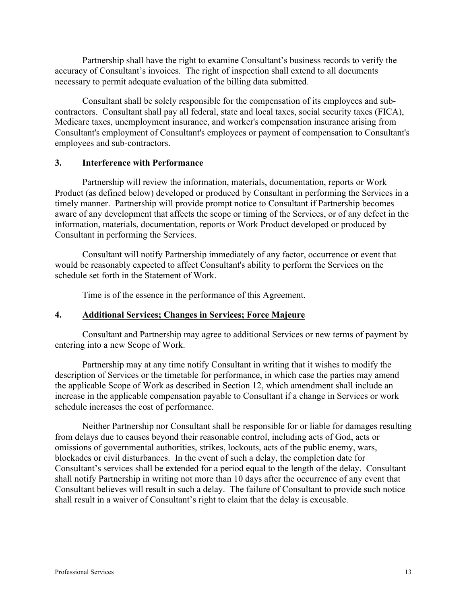Partnership shall have the right to examine Consultant's business records to verify the accuracy of Consultant's invoices. The right of inspection shall extend to all documents necessary to permit adequate evaluation of the billing data submitted.

Consultant shall be solely responsible for the compensation of its employees and subcontractors. Consultant shall pay all federal, state and local taxes, social security taxes (FICA), Medicare taxes, unemployment insurance, and worker's compensation insurance arising from Consultant's employment of Consultant's employees or payment of compensation to Consultant's employees and sub-contractors.

### **3. Interference with Performance**

Partnership will review the information, materials, documentation, reports or Work Product (as defined below) developed or produced by Consultant in performing the Services in a timely manner. Partnership will provide prompt notice to Consultant if Partnership becomes aware of any development that affects the scope or timing of the Services, or of any defect in the information, materials, documentation, reports or Work Product developed or produced by Consultant in performing the Services.

Consultant will notify Partnership immediately of any factor, occurrence or event that would be reasonably expected to affect Consultant's ability to perform the Services on the schedule set forth in the Statement of Work.

Time is of the essence in the performance of this Agreement.

### **4. Additional Services; Changes in Services; Force Majeure**

Consultant and Partnership may agree to additional Services or new terms of payment by entering into a new Scope of Work.

Partnership may at any time notify Consultant in writing that it wishes to modify the description of Services or the timetable for performance, in which case the parties may amend the applicable Scope of Work as described in Section 12, which amendment shall include an increase in the applicable compensation payable to Consultant if a change in Services or work schedule increases the cost of performance.

Neither Partnership nor Consultant shall be responsible for or liable for damages resulting from delays due to causes beyond their reasonable control, including acts of God, acts or omissions of governmental authorities, strikes, lockouts, acts of the public enemy, wars, blockades or civil disturbances. In the event of such a delay, the completion date for Consultant's services shall be extended for a period equal to the length of the delay. Consultant shall notify Partnership in writing not more than 10 days after the occurrence of any event that Consultant believes will result in such a delay. The failure of Consultant to provide such notice shall result in a waiver of Consultant's right to claim that the delay is excusable.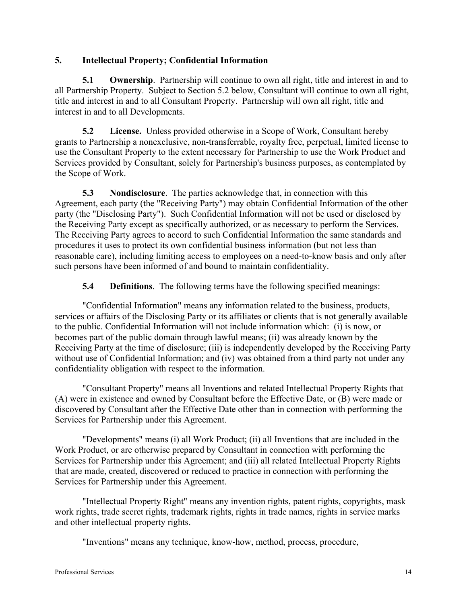## **5. Intellectual Property; Confidential Information**

**5.1 Ownership**. Partnership will continue to own all right, title and interest in and to all Partnership Property. Subject to Section 5.2 below, Consultant will continue to own all right, title and interest in and to all Consultant Property. Partnership will own all right, title and interest in and to all Developments.

**5.2 License.** Unless provided otherwise in a Scope of Work, Consultant hereby grants to Partnership a nonexclusive, non-transferrable, royalty free, perpetual, limited license to use the Consultant Property to the extent necessary for Partnership to use the Work Product and Services provided by Consultant, solely for Partnership's business purposes, as contemplated by the Scope of Work.

**5.3 Nondisclosure**. The parties acknowledge that, in connection with this Agreement, each party (the "Receiving Party") may obtain Confidential Information of the other party (the "Disclosing Party"). Such Confidential Information will not be used or disclosed by the Receiving Party except as specifically authorized, or as necessary to perform the Services. The Receiving Party agrees to accord to such Confidential Information the same standards and procedures it uses to protect its own confidential business information (but not less than reasonable care), including limiting access to employees on a need-to-know basis and only after such persons have been informed of and bound to maintain confidentiality.

**5.4 Definitions**. The following terms have the following specified meanings:

"Confidential Information" means any information related to the business, products, services or affairs of the Disclosing Party or its affiliates or clients that is not generally available to the public. Confidential Information will not include information which: (i) is now, or becomes part of the public domain through lawful means; (ii) was already known by the Receiving Party at the time of disclosure; (iii) is independently developed by the Receiving Party without use of Confidential Information; and (iv) was obtained from a third party not under any confidentiality obligation with respect to the information.

"Consultant Property" means all Inventions and related Intellectual Property Rights that (A) were in existence and owned by Consultant before the Effective Date, or (B) were made or discovered by Consultant after the Effective Date other than in connection with performing the Services for Partnership under this Agreement.

"Developments" means (i) all Work Product; (ii) all Inventions that are included in the Work Product, or are otherwise prepared by Consultant in connection with performing the Services for Partnership under this Agreement; and (iii) all related Intellectual Property Rights that are made, created, discovered or reduced to practice in connection with performing the Services for Partnership under this Agreement.

"Intellectual Property Right" means any invention rights, patent rights, copyrights, mask work rights, trade secret rights, trademark rights, rights in trade names, rights in service marks and other intellectual property rights.

"Inventions" means any technique, know-how, method, process, procedure,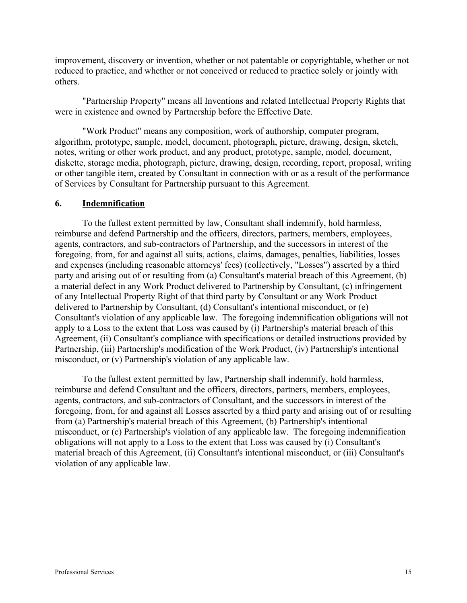improvement, discovery or invention, whether or not patentable or copyrightable, whether or not reduced to practice, and whether or not conceived or reduced to practice solely or jointly with others.

"Partnership Property" means all Inventions and related Intellectual Property Rights that were in existence and owned by Partnership before the Effective Date.

"Work Product" means any composition, work of authorship, computer program, algorithm, prototype, sample, model, document, photograph, picture, drawing, design, sketch, notes, writing or other work product, and any product, prototype, sample, model, document, diskette, storage media, photograph, picture, drawing, design, recording, report, proposal, writing or other tangible item, created by Consultant in connection with or as a result of the performance of Services by Consultant for Partnership pursuant to this Agreement.

### **6. Indemnification**

To the fullest extent permitted by law, Consultant shall indemnify, hold harmless, reimburse and defend Partnership and the officers, directors, partners, members, employees, agents, contractors, and sub-contractors of Partnership, and the successors in interest of the foregoing, from, for and against all suits, actions, claims, damages, penalties, liabilities, losses and expenses (including reasonable attorneys' fees) (collectively, "Losses") asserted by a third party and arising out of or resulting from (a) Consultant's material breach of this Agreement, (b) a material defect in any Work Product delivered to Partnership by Consultant, (c) infringement of any Intellectual Property Right of that third party by Consultant or any Work Product delivered to Partnership by Consultant, (d) Consultant's intentional misconduct, or (e) Consultant's violation of any applicable law. The foregoing indemnification obligations will not apply to a Loss to the extent that Loss was caused by (i) Partnership's material breach of this Agreement, (ii) Consultant's compliance with specifications or detailed instructions provided by Partnership, (iii) Partnership's modification of the Work Product, (iv) Partnership's intentional misconduct, or (v) Partnership's violation of any applicable law.

To the fullest extent permitted by law, Partnership shall indemnify, hold harmless, reimburse and defend Consultant and the officers, directors, partners, members, employees, agents, contractors, and sub-contractors of Consultant, and the successors in interest of the foregoing, from, for and against all Losses asserted by a third party and arising out of or resulting from (a) Partnership's material breach of this Agreement, (b) Partnership's intentional misconduct, or (c) Partnership's violation of any applicable law. The foregoing indemnification obligations will not apply to a Loss to the extent that Loss was caused by (i) Consultant's material breach of this Agreement, (ii) Consultant's intentional misconduct, or (iii) Consultant's violation of any applicable law.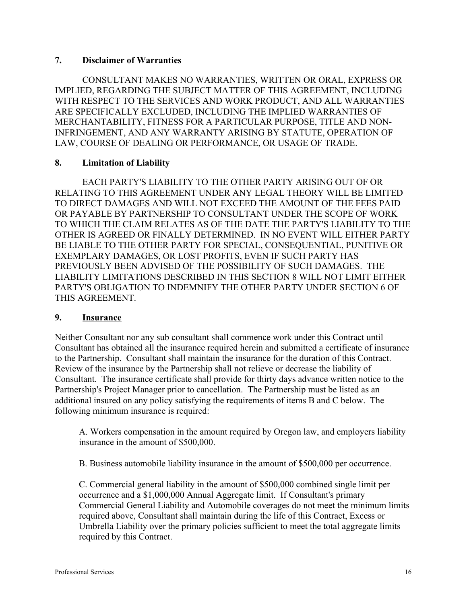### **7. Disclaimer of Warranties**

CONSULTANT MAKES NO WARRANTIES, WRITTEN OR ORAL, EXPRESS OR IMPLIED, REGARDING THE SUBJECT MATTER OF THIS AGREEMENT, INCLUDING WITH RESPECT TO THE SERVICES AND WORK PRODUCT, AND ALL WARRANTIES ARE SPECIFICALLY EXCLUDED, INCLUDING THE IMPLIED WARRANTIES OF MERCHANTABILITY, FITNESS FOR A PARTICULAR PURPOSE, TITLE AND NON-INFRINGEMENT, AND ANY WARRANTY ARISING BY STATUTE, OPERATION OF LAW, COURSE OF DEALING OR PERFORMANCE, OR USAGE OF TRADE.

### **8. Limitation of Liability**

EACH PARTY'S LIABILITY TO THE OTHER PARTY ARISING OUT OF OR RELATING TO THIS AGREEMENT UNDER ANY LEGAL THEORY WILL BE LIMITED TO DIRECT DAMAGES AND WILL NOT EXCEED THE AMOUNT OF THE FEES PAID OR PAYABLE BY PARTNERSHIP TO CONSULTANT UNDER THE SCOPE OF WORK TO WHICH THE CLAIM RELATES AS OF THE DATE THE PARTY'S LIABILITY TO THE OTHER IS AGREED OR FINALLY DETERMINED. IN NO EVENT WILL EITHER PARTY BE LIABLE TO THE OTHER PARTY FOR SPECIAL, CONSEQUENTIAL, PUNITIVE OR EXEMPLARY DAMAGES, OR LOST PROFITS, EVEN IF SUCH PARTY HAS PREVIOUSLY BEEN ADVISED OF THE POSSIBILITY OF SUCH DAMAGES. THE LIABILITY LIMITATIONS DESCRIBED IN THIS SECTION 8 WILL NOT LIMIT EITHER PARTY'S OBLIGATION TO INDEMNIFY THE OTHER PARTY UNDER SECTION 6 OF THIS AGREEMENT.

### **9. Insurance**

Neither Consultant nor any sub consultant shall commence work under this Contract until Consultant has obtained all the insurance required herein and submitted a certificate of insurance to the Partnership. Consultant shall maintain the insurance for the duration of this Contract. Review of the insurance by the Partnership shall not relieve or decrease the liability of Consultant. The insurance certificate shall provide for thirty days advance written notice to the Partnership's Project Manager prior to cancellation. The Partnership must be listed as an additional insured on any policy satisfying the requirements of items B and C below. The following minimum insurance is required:

A. Workers compensation in the amount required by Oregon law, and employers liability insurance in the amount of \$500,000.

B. Business automobile liability insurance in the amount of \$500,000 per occurrence.

C. Commercial general liability in the amount of \$500,000 combined single limit per occurrence and a \$1,000,000 Annual Aggregate limit. If Consultant's primary Commercial General Liability and Automobile coverages do not meet the minimum limits required above, Consultant shall maintain during the life of this Contract, Excess or Umbrella Liability over the primary policies sufficient to meet the total aggregate limits required by this Contract.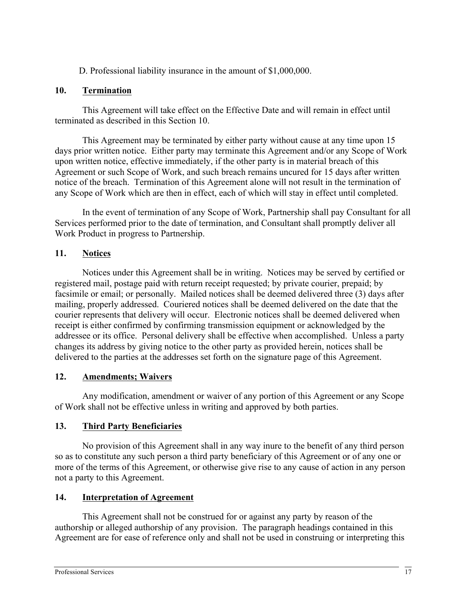D. Professional liability insurance in the amount of \$1,000,000.

### **10. Termination**

This Agreement will take effect on the Effective Date and will remain in effect until terminated as described in this Section 10.

This Agreement may be terminated by either party without cause at any time upon 15 days prior written notice. Either party may terminate this Agreement and/or any Scope of Work upon written notice, effective immediately, if the other party is in material breach of this Agreement or such Scope of Work, and such breach remains uncured for 15 days after written notice of the breach. Termination of this Agreement alone will not result in the termination of any Scope of Work which are then in effect, each of which will stay in effect until completed.

In the event of termination of any Scope of Work, Partnership shall pay Consultant for all Services performed prior to the date of termination, and Consultant shall promptly deliver all Work Product in progress to Partnership.

## **11. Notices**

Notices under this Agreement shall be in writing. Notices may be served by certified or registered mail, postage paid with return receipt requested; by private courier, prepaid; by facsimile or email; or personally. Mailed notices shall be deemed delivered three (3) days after mailing, properly addressed. Couriered notices shall be deemed delivered on the date that the courier represents that delivery will occur. Electronic notices shall be deemed delivered when receipt is either confirmed by confirming transmission equipment or acknowledged by the addressee or its office. Personal delivery shall be effective when accomplished. Unless a party changes its address by giving notice to the other party as provided herein, notices shall be delivered to the parties at the addresses set forth on the signature page of this Agreement.

## **12. Amendments; Waivers**

Any modification, amendment or waiver of any portion of this Agreement or any Scope of Work shall not be effective unless in writing and approved by both parties.

## **13. Third Party Beneficiaries**

No provision of this Agreement shall in any way inure to the benefit of any third person so as to constitute any such person a third party beneficiary of this Agreement or of any one or more of the terms of this Agreement, or otherwise give rise to any cause of action in any person not a party to this Agreement.

## **14. Interpretation of Agreement**

This Agreement shall not be construed for or against any party by reason of the authorship or alleged authorship of any provision. The paragraph headings contained in this Agreement are for ease of reference only and shall not be used in construing or interpreting this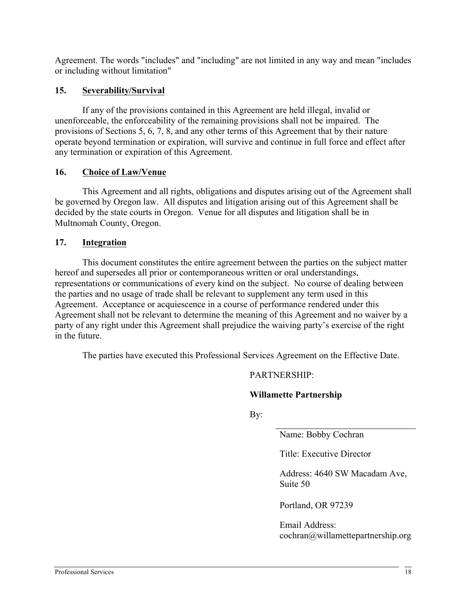Agreement. The words "includes" and "including" are not limited in any way and mean "includes or including without limitation"

### **15. Severability/Survival**

If any of the provisions contained in this Agreement are held illegal, invalid or unenforceable, the enforceability of the remaining provisions shall not be impaired. The provisions of Sections 5, 6, 7, 8, and any other terms of this Agreement that by their nature operate beyond termination or expiration, will survive and continue in full force and effect after any termination or expiration of this Agreement.

### **16. Choice of Law/Venue**

This Agreement and all rights, obligations and disputes arising out of the Agreement shall be governed by Oregon law. All disputes and litigation arising out of this Agreement shall be decided by the state courts in Oregon. Venue for all disputes and litigation shall be in Multnomah County, Oregon.

### **17. Integration**

This document constitutes the entire agreement between the parties on the subject matter hereof and supersedes all prior or contemporaneous written or oral understandings, representations or communications of every kind on the subject. No course of dealing between the parties and no usage of trade shall be relevant to supplement any term used in this Agreement. Acceptance or acquiescence in a course of performance rendered under this Agreement shall not be relevant to determine the meaning of this Agreement and no waiver by a party of any right under this Agreement shall prejudice the waiving party's exercise of the right in the future.

The parties have executed this Professional Services Agreement on the Effective Date.

### PARTNERSHIP:

### **Willamette Partnership**

By:

Name: Bobby Cochran

Title: Executive Director

Address: 4640 SW Macadam Ave, Suite 50

Portland, OR 97239

Email Address: cochran@willamettepartnership.org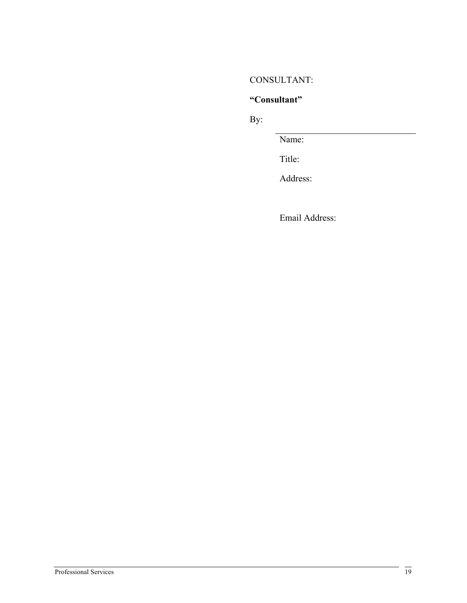### CONSULTANT:

## **"Consultant"**

By:

Name:

Title:

Address:

Email Address: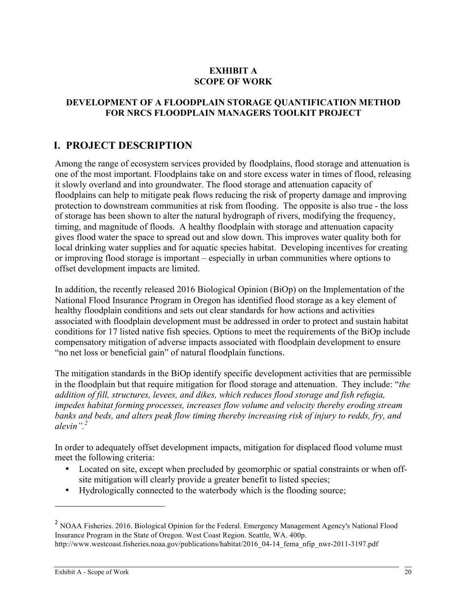### **EXHIBIT A SCOPE OF WORK**

### **DEVELOPMENT OF A FLOODPLAIN STORAGE QUANTIFICATION METHOD FOR NRCS FLOODPLAIN MANAGERS TOOLKIT PROJECT**

# **I. PROJECT DESCRIPTION**

Among the range of ecosystem services provided by floodplains, flood storage and attenuation is one of the most important. Floodplains take on and store excess water in times of flood, releasing it slowly overland and into groundwater. The flood storage and attenuation capacity of floodplains can help to mitigate peak flows reducing the risk of property damage and improving protection to downstream communities at risk from flooding. The opposite is also true - the loss of storage has been shown to alter the natural hydrograph of rivers, modifying the frequency, timing, and magnitude of floods. A healthy floodplain with storage and attenuation capacity gives flood water the space to spread out and slow down. This improves water quality both for local drinking water supplies and for aquatic species habitat. Developing incentives for creating or improving flood storage is important – especially in urban communities where options to offset development impacts are limited.

In addition, the recently released 2016 Biological Opinion (BiOp) on the Implementation of the National Flood Insurance Program in Oregon has identified flood storage as a key element of healthy floodplain conditions and sets out clear standards for how actions and activities associated with floodplain development must be addressed in order to protect and sustain habitat conditions for 17 listed native fish species. Options to meet the requirements of the BiOp include compensatory mitigation of adverse impacts associated with floodplain development to ensure "no net loss or beneficial gain" of natural floodplain functions.

The mitigation standards in the BiOp identify specific development activities that are permissible in the floodplain but that require mitigation for flood storage and attenuation. They include: "*the addition of fill, structures, levees, and dikes, which reduces flood storage and fish refugia, impedes habitat forming processes, increases flow volume and velocity thereby eroding stream banks and beds, and alters peak flow timing thereby increasing risk of injury to redds, fry, and alevin".2*

In order to adequately offset development impacts, mitigation for displaced flood volume must meet the following criteria:

- Located on site, except when precluded by geomorphic or spatial constraints or when offsite mitigation will clearly provide a greater benefit to listed species;
- Hydrologically connected to the waterbody which is the flooding source;

 $\overline{a}$ 

<sup>2</sup> NOAA Fisheries. 2016. Biological Opinion for the Federal. Emergency Management Agency's National Flood Insurance Program in the State of Oregon. West Coast Region. Seattle, WA. 400p. http://www.westcoast.fisheries.noaa.gov/publications/habitat/2016\_04-14\_fema\_nfip\_nwr-2011-3197.pdf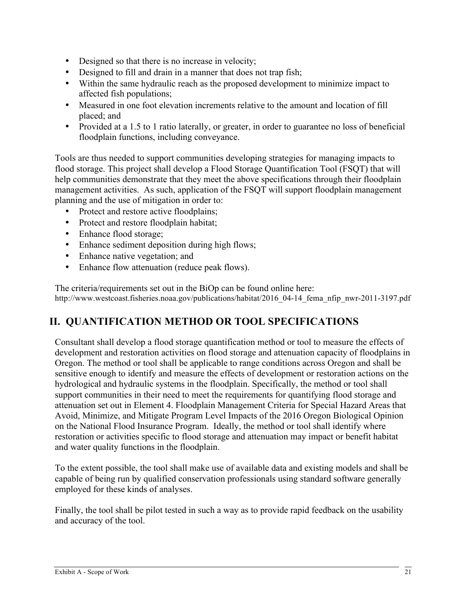- Designed so that there is no increase in velocity;
- Designed to fill and drain in a manner that does not trap fish:
- Within the same hydraulic reach as the proposed development to minimize impact to affected fish populations;
- Measured in one foot elevation increments relative to the amount and location of fill placed; and
- Provided at a 1.5 to 1 ratio laterally, or greater, in order to guarantee no loss of beneficial floodplain functions, including conveyance.

Tools are thus needed to support communities developing strategies for managing impacts to flood storage. This project shall develop a Flood Storage Quantification Tool (FSQT) that will help communities demonstrate that they meet the above specifications through their floodplain management activities. As such, application of the FSQT will support floodplain management planning and the use of mitigation in order to:

- Protect and restore active floodplains;
- Protect and restore floodplain habitat;
- Enhance flood storage;
- Enhance sediment deposition during high flows;
- Enhance native vegetation; and
- Enhance flow attenuation (reduce peak flows).

The criteria/requirements set out in the BiOp can be found online here: http://www.westcoast.fisheries.noaa.gov/publications/habitat/2016\_04-14\_fema\_nfip\_nwr-2011-3197.pdf

# **II. QUANTIFICATION METHOD OR TOOL SPECIFICATIONS**

Consultant shall develop a flood storage quantification method or tool to measure the effects of development and restoration activities on flood storage and attenuation capacity of floodplains in Oregon. The method or tool shall be applicable to range conditions across Oregon and shall be sensitive enough to identify and measure the effects of development or restoration actions on the hydrological and hydraulic systems in the floodplain. Specifically, the method or tool shall support communities in their need to meet the requirements for quantifying flood storage and attenuation set out in Element 4. Floodplain Management Criteria for Special Hazard Areas that Avoid, Minimize, and Mitigate Program Level Impacts of the 2016 Oregon Biological Opinion on the National Flood Insurance Program. Ideally, the method or tool shall identify where restoration or activities specific to flood storage and attenuation may impact or benefit habitat and water quality functions in the floodplain.

To the extent possible, the tool shall make use of available data and existing models and shall be capable of being run by qualified conservation professionals using standard software generally employed for these kinds of analyses.

Finally, the tool shall be pilot tested in such a way as to provide rapid feedback on the usability and accuracy of the tool.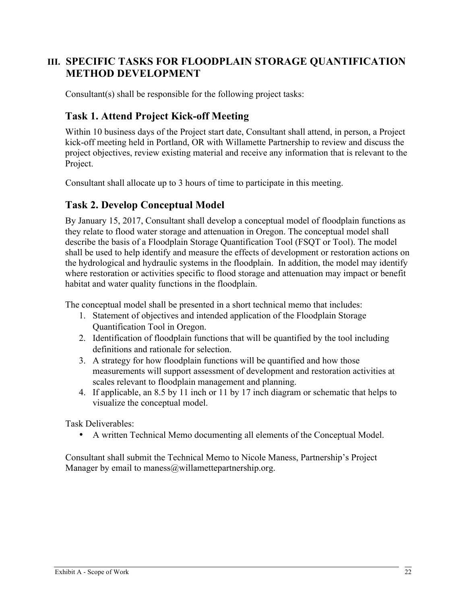# **III. SPECIFIC TASKS FOR FLOODPLAIN STORAGE QUANTIFICATION METHOD DEVELOPMENT**

Consultant(s) shall be responsible for the following project tasks:

## **Task 1. Attend Project Kick-off Meeting**

Within 10 business days of the Project start date, Consultant shall attend, in person, a Project kick-off meeting held in Portland, OR with Willamette Partnership to review and discuss the project objectives, review existing material and receive any information that is relevant to the Project.

Consultant shall allocate up to 3 hours of time to participate in this meeting.

## **Task 2. Develop Conceptual Model**

By January 15, 2017, Consultant shall develop a conceptual model of floodplain functions as they relate to flood water storage and attenuation in Oregon. The conceptual model shall describe the basis of a Floodplain Storage Quantification Tool (FSQT or Tool). The model shall be used to help identify and measure the effects of development or restoration actions on the hydrological and hydraulic systems in the floodplain. In addition, the model may identify where restoration or activities specific to flood storage and attenuation may impact or benefit habitat and water quality functions in the floodplain.

The conceptual model shall be presented in a short technical memo that includes:

- 1. Statement of objectives and intended application of the Floodplain Storage Quantification Tool in Oregon.
- 2. Identification of floodplain functions that will be quantified by the tool including definitions and rationale for selection.
- 3. A strategy for how floodplain functions will be quantified and how those measurements will support assessment of development and restoration activities at scales relevant to floodplain management and planning.
- 4. If applicable, an 8.5 by 11 inch or 11 by 17 inch diagram or schematic that helps to visualize the conceptual model.

Task Deliverables:

• A written Technical Memo documenting all elements of the Conceptual Model.

Consultant shall submit the Technical Memo to Nicole Maness, Partnership's Project Manager by email to maness $@$ willamettepartnership.org.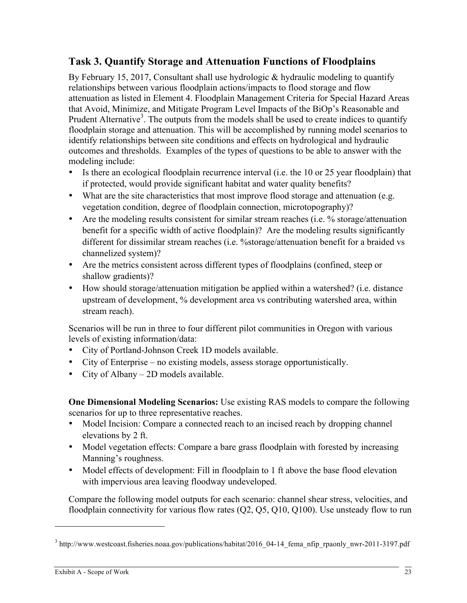# **Task 3. Quantify Storage and Attenuation Functions of Floodplains**

By February 15, 2017, Consultant shall use hydrologic  $\&$  hydraulic modeling to quantify relationships between various floodplain actions/impacts to flood storage and flow attenuation as listed in Element 4. Floodplain Management Criteria for Special Hazard Areas that Avoid, Minimize, and Mitigate Program Level Impacts of the BiOp's Reasonable and Prudent Alternative<sup>3</sup>. The outputs from the models shall be used to create indices to quantify floodplain storage and attenuation. This will be accomplished by running model scenarios to identify relationships between site conditions and effects on hydrological and hydraulic outcomes and thresholds. Examples of the types of questions to be able to answer with the modeling include:

- Is there an ecological floodplain recurrence interval (i.e. the 10 or 25 year floodplain) that if protected, would provide significant habitat and water quality benefits?
- What are the site characteristics that most improve flood storage and attenuation (e.g. vegetation condition, degree of floodplain connection, microtopography)?
- Are the modeling results consistent for similar stream reaches (i.e. % storage/attenuation benefit for a specific width of active floodplain)? Are the modeling results significantly different for dissimilar stream reaches (i.e. %storage/attenuation benefit for a braided vs channelized system)?
- Are the metrics consistent across different types of floodplains (confined, steep or shallow gradients)?
- How should storage/attenuation mitigation be applied within a watershed? (i.e. distance upstream of development, % development area vs contributing watershed area, within stream reach).

Scenarios will be run in three to four different pilot communities in Oregon with various levels of existing information/data:

- City of Portland-Johnson Creek 1D models available.
- City of Enterprise no existing models, assess storage opportunistically.
- City of Albany 2D models available.

**One Dimensional Modeling Scenarios:** Use existing RAS models to compare the following scenarios for up to three representative reaches.

- Model Incision: Compare a connected reach to an incised reach by dropping channel elevations by 2 ft.
- Model vegetation effects: Compare a bare grass floodplain with forested by increasing Manning's roughness.
- Model effects of development: Fill in floodplain to 1 ft above the base flood elevation with impervious area leaving floodway undeveloped.

Compare the following model outputs for each scenario: channel shear stress, velocities, and floodplain connectivity for various flow rates (Q2, Q5, Q10, Q100). Use unsteady flow to run

 $\overline{a}$ 

<sup>3</sup> http://www.westcoast.fisheries.noaa.gov/publications/habitat/2016\_04-14\_fema\_nfip\_rpaonly\_nwr-2011-3197.pdf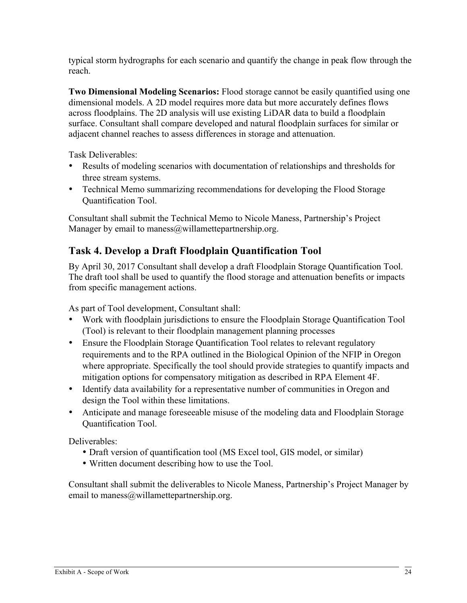typical storm hydrographs for each scenario and quantify the change in peak flow through the reach.

**Two Dimensional Modeling Scenarios:** Flood storage cannot be easily quantified using one dimensional models. A 2D model requires more data but more accurately defines flows across floodplains. The 2D analysis will use existing LiDAR data to build a floodplain surface. Consultant shall compare developed and natural floodplain surfaces for similar or adjacent channel reaches to assess differences in storage and attenuation.

Task Deliverables:

- Results of modeling scenarios with documentation of relationships and thresholds for three stream systems.
- Technical Memo summarizing recommendations for developing the Flood Storage Quantification Tool.

Consultant shall submit the Technical Memo to Nicole Maness, Partnership's Project Manager by email to maness $@$ willamettepartnership.org.

# **Task 4. Develop a Draft Floodplain Quantification Tool**

By April 30, 2017 Consultant shall develop a draft Floodplain Storage Quantification Tool. The draft tool shall be used to quantify the flood storage and attenuation benefits or impacts from specific management actions.

As part of Tool development, Consultant shall:

- Work with floodplain jurisdictions to ensure the Floodplain Storage Quantification Tool (Tool) is relevant to their floodplain management planning processes
- Ensure the Floodplain Storage Quantification Tool relates to relevant regulatory requirements and to the RPA outlined in the Biological Opinion of the NFIP in Oregon where appropriate. Specifically the tool should provide strategies to quantify impacts and mitigation options for compensatory mitigation as described in RPA Element 4F.
- Identify data availability for a representative number of communities in Oregon and design the Tool within these limitations.
- Anticipate and manage foreseeable misuse of the modeling data and Floodplain Storage Quantification Tool.

Deliverables:

- Draft version of quantification tool (MS Excel tool, GIS model, or similar)
- Written document describing how to use the Tool.

Consultant shall submit the deliverables to Nicole Maness, Partnership's Project Manager by email to maness@willamettepartnership.org.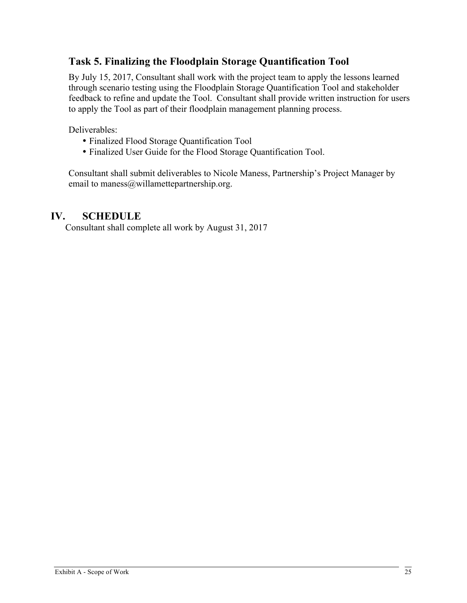# **Task 5. Finalizing the Floodplain Storage Quantification Tool**

By July 15, 2017, Consultant shall work with the project team to apply the lessons learned through scenario testing using the Floodplain Storage Quantification Tool and stakeholder feedback to refine and update the Tool. Consultant shall provide written instruction for users to apply the Tool as part of their floodplain management planning process.

Deliverables:

- Finalized Flood Storage Quantification Tool
- Finalized User Guide for the Flood Storage Quantification Tool.

Consultant shall submit deliverables to Nicole Maness, Partnership's Project Manager by email to maness@willamettepartnership.org.

## **IV. SCHEDULE**

Consultant shall complete all work by August 31, 2017